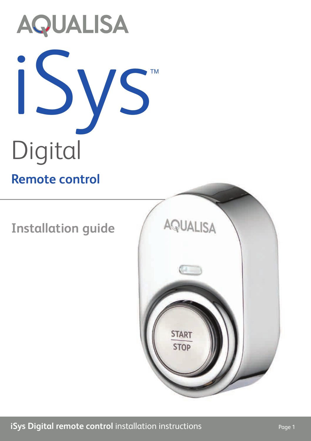

**Installation guide**

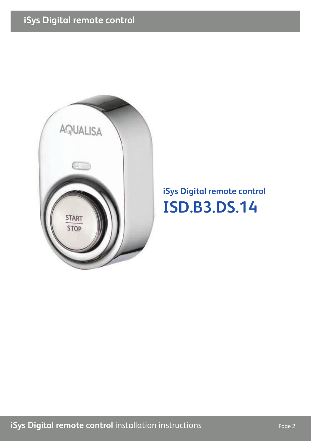

### **iSys Digital remote control ISD.B3.DS.14**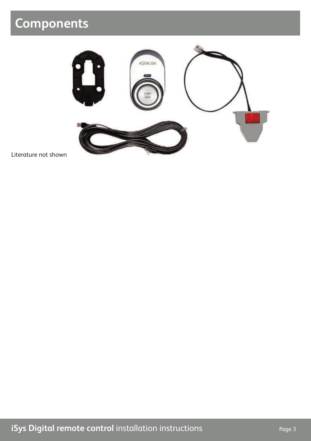## **Components**



Literature not shown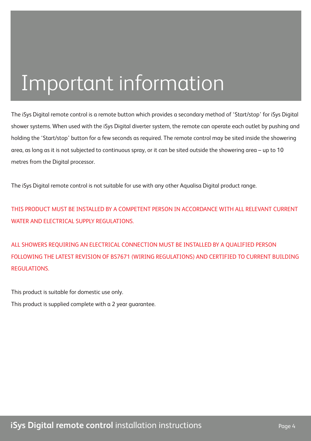# Important information

The iSys Digital remote control is a remote button which provides a secondary method of 'Start/stop' for iSys Digital shower systems. When used with the iSys Digital diverter system, the remote can operate each outlet by pushing and holding the 'Start/stop' button for a few seconds as required. The remote control may be sited inside the showering area, as long as it is not subjected to continuous spray, or it can be sited outside the showering area – up to 10 metres from the Digital processor.

The iSys Digital remote control is not suitable for use with any other Aqualisa Digital product range.

THIS PRODUCT MUST BE INSTALLED BY A COMPETENT PERSON IN ACCORDANCE WITH ALL RELEVANT CURRENT WATER AND ELECTRICAL SUPPLY REGULATIONS.

ALL SHOWERS REQUIRING AN ELECTRICAL CONNECTION MUST BE INSTALLED BY A QUALIFIED PERSON FOLLOWING THE LATEST REVISION OF BS7671 (WIRING REGULATIONS) AND CERTIFIED TO CURRENT BUILDING **REGULATIONS** 

This product is suitable for domestic use only. This product is supplied complete with a 2 year guarantee.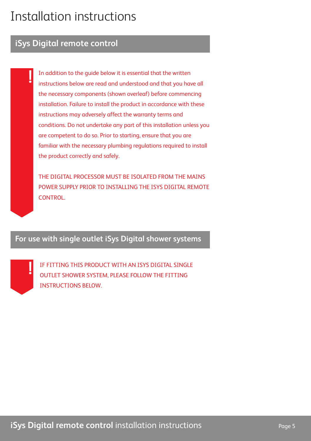### Installation instructions

#### **iSys Digital remote control**

**!**

In addition to the guide below it is essential that the written instructions below are read and understood and that you have all the necessary components (shown overleaf) before commencing installation. Failure to install the product in accordance with these instructions may adversely affect the warranty terms and conditions. Do not undertake any part of this installation unless you are competent to do so. Prior to starting, ensure that you are familiar with the necessary plumbing regulations required to install the product correctly and safely.

THE DIGITAL PROCESSOR MUST BE ISOLATED FROM THE MAINS POWER SUPPLY PRIOR TO INSTALLING THE ISYS DIGITAL REMOTE **CONTROL** 

**For use with single outlet iSys Digital shower systems**



IF FITTING THIS PRODUCT WITH AN ISYS DIGITAL SINGLE OUTLET SHOWER SYSTEM, PLEASE FOLLOW THE FITTING INSTRUCTIONS BELOW.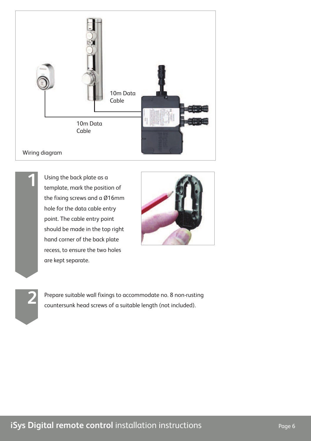



Using the back plate as a template, mark the position of the fixing screws and a Ø16mm hole for the data cable entry point. The cable entry point should be made in the top right hand corner of the back plate recess, to ensure the two holes are kept separate.



Prepare suitable wall fixings to accommodate no. 8 non-rusting **2** countersunk head screws of a suitable length (not included).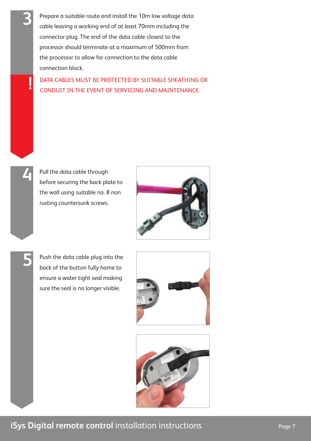Prepare a suitable route and install the 10m low voltage data cable leaving a working end of at least 70mm including the connector plug. The end of the data cable closest to the processor should terminate at a maximum of 500mm from the processor to allow for connection to the data cable connection block.

DATA CABLES MUST BE PROTECTED BY SUITABLE SHEATHING OR CONDUIT IN THE EVENT OF SERVICING AND MAINTENANCE. **!**



**3**

Pull the data cable through before securing the back plate to the wall using suitable no. 8 non rusting countersunk screws.



**5**

Push the data cable plug into the back of the button fully home to ensure a water tight seal making sure the seal is no longer visible.



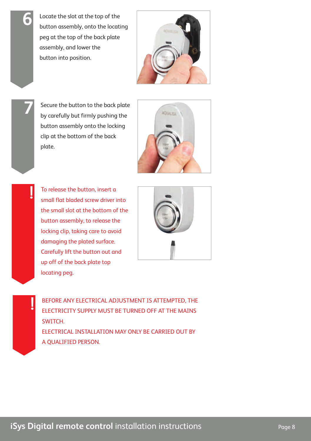Locate the slot at the top of the button assembly, onto the locating peg at the top of the back plate assembly, and lower the button into position.



Secure the button to the back plate by carefully but firmly pushing the button assembly onto the locking clip at the bottom of the back plate.

**7**

**!**

**!**

**6**



To release the button, insert a small flat bladed screw driver into the small slot at the bottom of the button assembly, to release the locking clip, taking care to avoid damaging the plated surface. Carefully lift the button out and up off of the back plate top locating peg.



BEFORE ANY ELECTRICAL ADJUSTMENT IS ATTEMPTED, THE ELECTRICITY SUPPLY MUST BE TURNED OFF AT THE MAINS SWITCH. ELECTRICAL INSTALLATION MAY ONLY BE CARRIED OUT BY A QUALIFIED PERSON.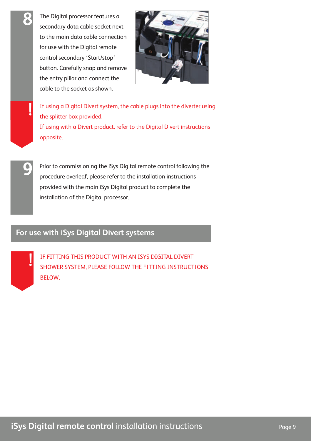The Digital processor features a secondary data cable socket next to the main data cable connection for use with the Digital remote control secondary 'Start/stop' button. Carefully snap and remove the entry pillar and connect the cable to the socket as shown.



If using a Digital Divert system, the cable plugs into the diverter using the splitter box provided. If using with a Divert product, refer to the Digital Divert instructions opposite.

Prior to commissioning the iSys Digital remote control following the procedure overleaf, please refer to the installation instructions provided with the main iSys Digital product to complete the installation of the Digital processor.

#### **For use with iSys Digital Divert systems**



**8**

**!**

**9**

IF FITTING THIS PRODUCT WITH AN ISYS DIGITAL DIVERT SHOWER SYSTEM, PLEASE FOLLOW THE FITTING INSTRUCTIONS BELOW.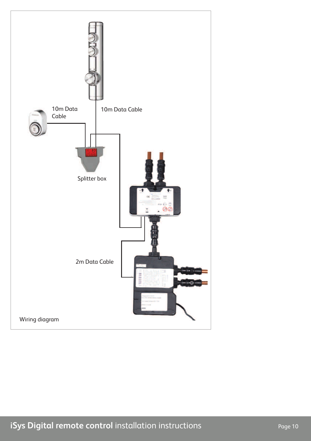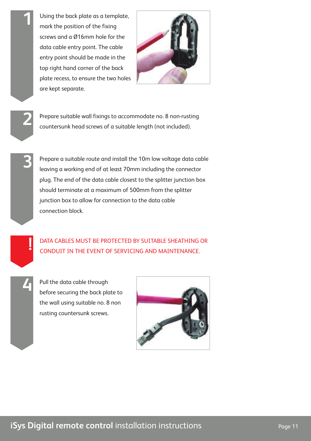Using the back plate as a template, mark the position of the fixing screws and a Ø16mm hole for the data cable entry point. The cable entry point should be made in the top right hand corner of the back plate recess, to ensure the two holes are kept separate.



**3**

**4**

**1**

Prepare suitable wall fixings to accommodate no. 8 non-rusting **2** countersunk head screws of a suitable length (not included).

Prepare a suitable route and install the 10m low voltage data cable leaving a working end of at least 70mm including the connector plug. The end of the data cable closest to the splitter junction box should terminate at a maximum of 500mm from the splitter junction box to allow for connection to the data cable connection block.

DATA CABLES MUST BE PROTECTED BY SUITABLE SHEATHING OR CONDUIT IN THE EVENT OF SERVICING AND MAINTENANCE. **!**

Pull the data cable through before securing the back plate to the wall using suitable no. 8 non rusting countersunk screws.

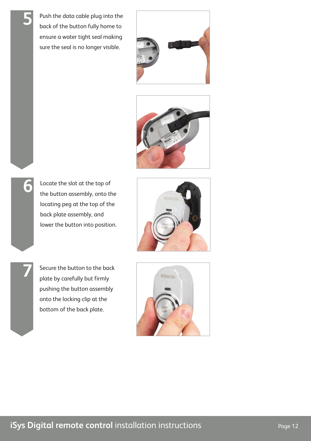Push the data cable plug into the back of the button fully home to ensure a water tight seal making sure the seal is no longer visible.

**5**

**6**

**7**





Locate the slot at the top of the button assembly, onto the locating peg at the top of the back plate assembly, and lower the button into position.



Secure the button to the back plate by carefully but firmly pushing the button assembly onto the locking clip at the bottom of the back plate.

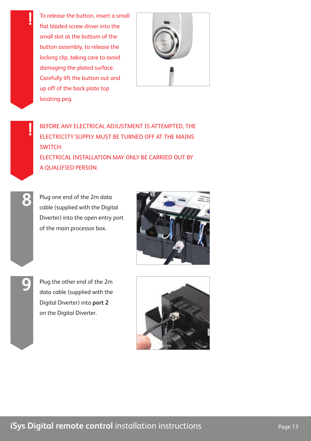To release the button, insert a small flat bladed screw driver into the small slot at the bottom of the button assembly, to release the locking clip, taking care to avoid damaging the plated surface. Carefully lift the button out and up off of the back plate top locating peg.



BEFORE ANY ELECTRICAL ADJUSTMENT IS ATTEMPTED, THE ELECTRICITY SUPPLY MUST BE TURNED OFF AT THE MAINS SWITCH. ELECTRICAL INSTALLATION MAY ONLY BE CARRIED OUT BY A QUALIFIED PERSON.

**8**

**!**

**!**

Plug one end of the 2m data cable (supplied with the Digital Diverter) into the open entry port of the main processor box.



**9**

Plug the other end of the 2m data cable (supplied with the Digital Diverter) into **port 2** on the Digital Diverter.

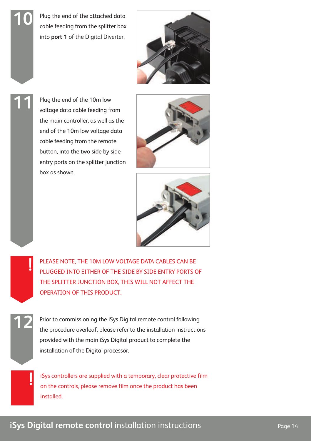Plug the end of the attached data cable feeding from the splitter box into **port 1** of the Digital Diverter.

Plug the end of the 10m low voltage data cable feeding from the main controller, as well as the end of the 10m low voltage data cable feeding from the remote button, into the two side by side entry ports on the splitter junction

box as shown.

**10**

**11**

**!**

**12**

**!**







PLEASE NOTE, THE 10M LOW VOLTAGE DATA CABLES CAN BE PLUGGED INTO EITHER OF THE SIDE BY SIDE ENTRY PORTS OF THE SPLITTER JUNCTION BOX, THIS WILL NOT AFFECT THE OPERATION OF THIS PRODUCT.

Prior to commissioning the iSys Digital remote control following the procedure overleaf, please refer to the installation instructions provided with the main iSys Digital product to complete the installation of the Digital processor.

iSys controllers are supplied with a temporary, clear protective film on the controls, please remove film once the product has been installed.

#### **iSys Digital remote control** installation instructions **Page 14** Page 14